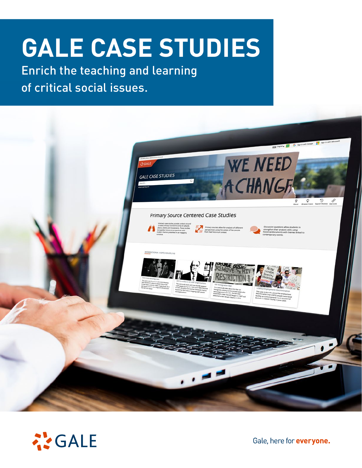# **GALE CASE STUDIES**

Enrich the teaching and learning of critical social issues.





Gale, here for everyone.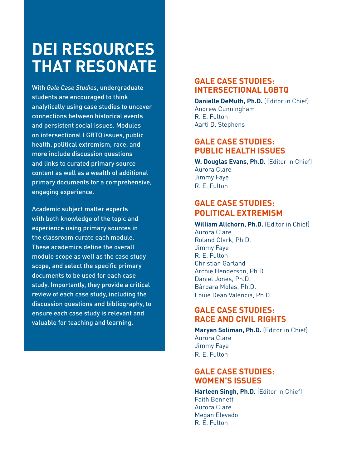# **DEI RESOURCES THAT RESONATE**

With *Gale Case Studies*, undergraduate students are encouraged to think analytically using case studies to uncover connections between historical events and persistent social issues. Modules on intersectional LGBTQ issues, public health, political extremism, race, and more include discussion questions and links to curated primary source content as well as a wealth of additional primary documents for a comprehensive, engaging experience.

Academic subject matter experts with both knowledge of the topic and experience using primary sources in the classroom curate each module. These academics define the overall module scope as well as the case study scope, and select the specific primary documents to be used for each case study. Importantly, they provide a critical review of each case study, including the discussion questions and bibliography, to ensure each case study is relevant and valuable for teaching and learning.

# **GALE CASE STUDIES: INTERSECTIONAL LGBTQ**

**Danielle DeMuth, Ph.D.** (Editor in Chief) Andrew Cunningham R. E. Fulton Aarti D. Stephens

# **GALE CASE STUDIES: PUBLIC HEALTH ISSUES**

**W. Douglas Evans, Ph.D.** (Editor in Chief) Aurora Clare Jimmy Faye R. E. Fulton

# **GALE CASE STUDIES: POLITICAL EXTREMISM**

#### **William Allchorn, Ph.D.** (Editor in Chief) Aurora Clare Roland Clark, Ph.D. Jimmy Faye R. E. Fulton Christian Garland Archie Henderson, Ph.D. Daniel Jones, Ph.D. Bàrbara Molas, Ph.D. Louie Dean Valencia, Ph.D.

# **GALE CASE STUDIES: RACE AND CIVIL RIGHTS**

**Maryan Soliman, Ph.D.** (Editor in Chief) Aurora Clare Jimmy Faye R. E. Fulton

# **GALE CASE STUDIES: WOMEN'S ISSUES**

**Harleen Singh, Ph.D.** (Editor in Chief) Faith Bennett Aurora Clare Megan Elevado R. E. Fulton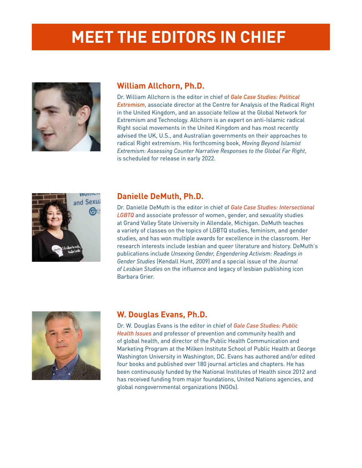# **MEET THE EDITORS IN CHIEF**



### **William Allchorn, Ph.D.**

Dr. William Allchorn is the editor in chief of *Gale Case Studies: Political Extremism*, associate director at the Centre for Analysis of the Radical Right in the United Kingdom, and an associate fellow at the Global Network for Extremism and Technology. Allchorn is an expert on anti-Islamic radical Right social movements in the United Kingdom and has most recently advised the UK, U.S., and Australian governments on their approaches to radical Right extremism. His forthcoming book, *Moving Beyond Islamist Extremism: Assessing Counter Narrative Responses to the Global Far Right*, is scheduled for release in early 2022.



# **Danielle DeMuth, Ph.D.**

Dr. Danielle DeMuth is the editor in chief of *Gale Case Studies: Intersectional LGBTQ* and associate professor of women, gender, and sexuality studies at Grand Valley State University in Allendale, Michigan. DeMuth teaches a variety of classes on the topics of LGBTQ studies, feminism, and gender studies, and has won multiple awards for excellence in the classroom. Her research interests include lesbian and queer literature and history. DeMuth's publications include *Unsexing Gender, Engendering Activism: Readings in Gender Studies* (Kendall Hunt, 2009) and a special issue of the *Journal of Lesbian Studies* on the influence and legacy of lesbian publishing icon Barbara Grier.



# **W. Douglas Evans, Ph.D.**

Dr. W. Douglas Evans is the editor in chief of *Gale Case Studies: Public Health Issues* and professor of prevention and community health and of global health, and director of the Public Health Communication and Marketing Program at the Milken Institute School of Public Health at George Washington University in Washington, DC. Evans has authored and/or edited four books and published over 180 journal articles and chapters. He has been continuously funded by the National Institutes of Health since 2012 and has received funding from major foundations, United Nations agencies, and global nongovernmental organizations (NGOs).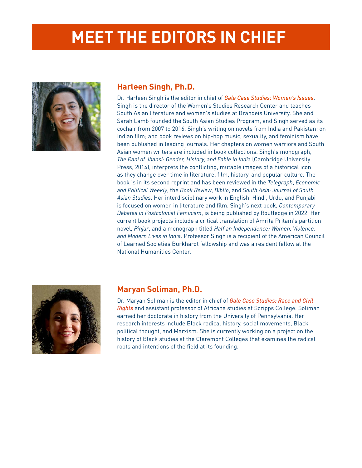# **MEET THE EDITORS IN CHIEF**



# **Harleen Singh, Ph.D.**

Dr. Harleen Singh is the editor in chief of *Gale Case Studies: Women's Issues*. Singh is the director of the Women's Studies Research Center and teaches South Asian literature and women's studies at Brandeis University. She and Sarah Lamb founded the South Asian Studies Program, and Singh served as its cochair from 2007 to 2016. Singh's writing on novels from India and Pakistan; on Indian film; and book reviews on hip-hop music, sexuality, and feminism have been published in leading journals. Her chapters on women warriors and South Asian women writers are included in book collections. Singh's monograph, *The Rani of Jhansi: Gender, History, and Fable in India* (Cambridge University Press, 2014), interprets the conflicting, mutable images of a historical icon as they change over time in literature, film, history, and popular culture. The book is in its second reprint and has been reviewed in the *Telegraph*, *Economic and Political Weekly*, the *Book Review*, *Biblio*, and *South Asia: Journal of South Asian Studies*. Her interdisciplinary work in English, Hindi, Urdu, and Punjabi is focused on women in literature and film. Singh's next book, *Contemporary Debates in Postcolonial Feminism*, is being published by Routledge in 2022. Her current book projects include a critical translation of Amrita Pritam's partition novel, *Pinjar*, and a monograph titled *Half an Independence: Women, Violence, and Modern Lives in India*. Professor Singh is a recipient of the American Council of Learned Societies Burkhardt fellowship and was a resident fellow at the National Humanities Center.



#### **Maryan Soliman, Ph.D.**

Dr. Maryan Soliman is the editor in chief of *Gale Case Studies: Race and Civil Rights* and assistant professor of Africana studies at Scripps College. Soliman earned her doctorate in history from the University of Pennsylvania. Her research interests include Black radical history, social movements, Black political thought, and Marxism. She is currently working on a project on the history of Black studies at the Claremont Colleges that examines the radical roots and intentions of the field at its founding.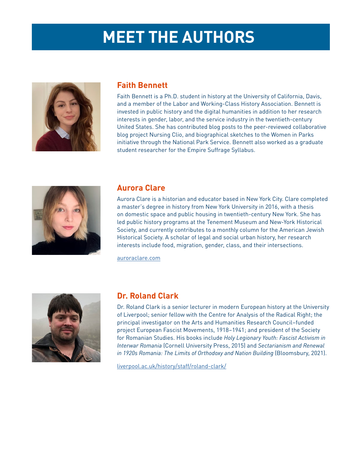

### **Faith Bennett**

Faith Bennett is a Ph.D. student in history at the University of California, Davis, and a member of the Labor and Working-Class History Association. Bennett is invested in public history and the digital humanities in addition to her research interests in gender, labor, and the service industry in the twentieth-century United States. She has contributed blog posts to the peer-reviewed collaborative blog project Nursing Clio, and biographical sketches to the Women in Parks initiative through the National Park Service. Bennett also worked as a graduate student researcher for the Empire Suffrage Syllabus.



#### **Aurora Clare**

Aurora Clare is a historian and educator based in New York City. Clare completed a master's degree in history from New York University in 2016, with a thesis on domestic space and public housing in twentieth-century New York. She has led public history programs at the Tenement Museum and New-York Historical Society, and currently contributes to a monthly column for the American Jewish Historical Society. A scholar of legal and social urban history, her research interests include food, migration, gender, class, and their intersections.

[auroraclare.com](http://auroraclare.com)



# **Dr. Roland Clark**

Dr. Roland Clark is a senior lecturer in modern European history at the University of Liverpool; senior fellow with the Centre for Analysis of the Radical Right; the principal investigator on the Arts and Humanities Research Council–funded project European Fascist Movements, 1918–1941; and president of the Society for Romanian Studies. His books include *Holy Legionary Youth: Fascist Activism in Interwar Romania* (Cornell University Press, 2015) and *Sectarianism and Renewal in 1920s Romania: The Limits of Orthodoxy and Nation Building* (Bloomsbury, 2021).

[liverpool.ac.uk/history/staff/roland-clark/](http://liverpool.ac.uk/history/staff/roland-clark/
)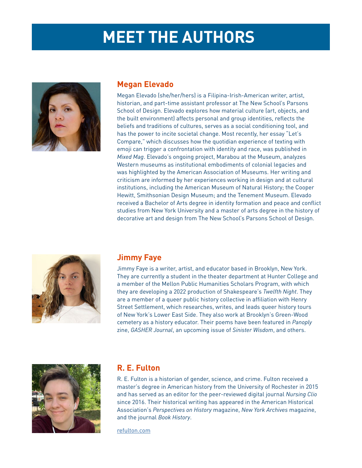

#### **Megan Elevado**

Megan Elevado (she/her/hers) is a Filipina-Irish-American writer, artist, historian, and part-time assistant professor at The New School's Parsons School of Design. Elevado explores how material culture (art, objects, and the built environment) affects personal and group identities, reflects the beliefs and traditions of cultures, serves as a social conditioning tool, and has the power to incite societal change. Most recently, her essay "Let's Compare," which discusses how the quotidian experience of texting with emoji can trigger a confrontation with identity and race, was published in *Mixed Mag*. Elevado's ongoing project, Marabou at the Museum, analyzes Western museums as institutional embodiments of colonial legacies and was highlighted by the American Association of Museums. Her writing and criticism are informed by her experiences working in design and at cultural institutions, including the American Museum of Natural History; the Cooper Hewitt, Smithsonian Design Museum; and the Tenement Museum. Elevado received a Bachelor of Arts degree in identity formation and peace and conflict studies from New York University and a master of arts degree in the history of decorative art and design from The New School's Parsons School of Design.



#### **Jimmy Faye**

Jimmy Faye is a writer, artist, and educator based in Brooklyn, New York. They are currently a student in the theater department at Hunter College and a member of the Mellon Public Humanities Scholars Program, with which they are developing a 2022 production of Shakespeare's *Twelfth Night*. They are a member of a queer public history collective in affiliation with Henry Street Settlement, which researches, writes, and leads queer history tours of New York's Lower East Side. They also work at Brooklyn's Green-Wood cemetery as a history educator. Their poems have been featured in *Panoply* zine, *GASHER Journal*, an upcoming issue of *Sinister Wisdom*, and others.



# **R. E. Fulton**

R. E. Fulton is a historian of gender, science, and crime. Fulton received a master's degree in American history from the University of Rochester in 2015 and has served as an editor for the peer-reviewed digital journal *Nursing Clio* since 2016. Their historical writing has appeared in the American Historical Association's *Perspectives on History* magazine, *New York Archives* magazine, and the journal *Book History*.

[refulton.com](http://refulton.com)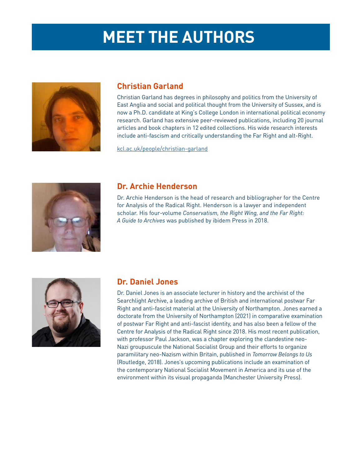

# **Christian Garland**

Christian Garland has degrees in philosophy and politics from the University of East Anglia and social and political thought from the University of Sussex, and is now a Ph.D. candidate at King's College London in international political economy research. Garland has extensive peer-reviewed publications, including 20 journal articles and book chapters in 12 edited collections. His wide research interests include anti-fascism and critically understanding the Far Right and alt-Right.

[kcl.ac.uk/people/christian-garland](http://kcl.ac.uk/people/christian-garland)



# **Dr. Archie Henderson**

Dr. Archie Henderson is the head of research and bibliographer for the Centre for Analysis of the Radical Right. Henderson is a lawyer and independent scholar. His four-volume *Conservatism, the Right Wing, and the Far Right: A Guide to Archives* was published by ibidem Press in 2018.



# **Dr. Daniel Jones**

Dr. Daniel Jones is an associate lecturer in history and the archivist of the Searchlight Archive, a leading archive of British and international postwar Far Right and anti-fascist material at the University of Northampton. Jones earned a doctorate from the University of Northampton (2021) in comparative examination of postwar Far Right and anti-fascist identity, and has also been a fellow of the Centre for Analysis of the Radical Right since 2018. His most recent publication, with professor Paul Jackson, was a chapter exploring the clandestine neo-Nazi groupuscule the National Socialist Group and their efforts to organize paramilitary neo-Nazism within Britain, published in *Tomorrow Belongs to Us* (Routledge, 2018). Jones's upcoming publications include an examination of the contemporary National Socialist Movement in America and its use of the environment within its visual propaganda (Manchester University Press).